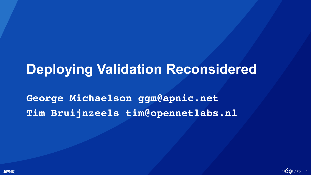### **Deploying Validation Reconsidered**

**George Michaelson ggm@apnic.net Tim Bruijnzeels tim@opennetlabs.nl**



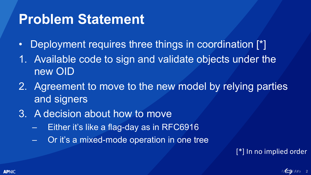### **Problem Statement**

- Deployment requires three things in coordination [\*]
- 1. Available code to sign and validate objects under the new OID
- 2. Agreement to move to the new model by relying parties and signers
- 3. A decision about how to move
	- Either it's like a flag-day as in RFC6916
	- Or it's a mixed-mode operation in one tree

#### [\*] In no implied order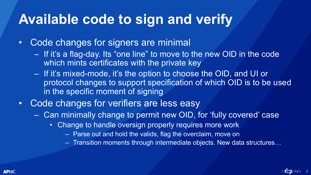# **Available code to sign and verify**

- Code changes for signers are minimal
	- If it's a flag-day. Its "one line" to move to the new OID in the code which mints certificates with the private key
	- If it's mixed-mode, it's the option to choose the OID, and UI or protocol changes to support specification of which OID is to be used in the specific moment of signing
- Code changes for verifiers are less easy
	- Can minimally change to permit new OID, for 'fully covered' case
		- Change to handle oversign properly requires more work
			- Parse out and hold the valids, flag the overclaim, move on
			- Transition moments through intermediate objects. New data structures…

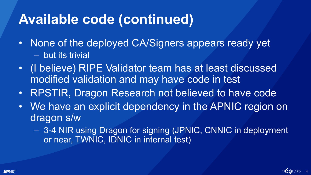# **Available code (continued)**

- None of the deployed CA/Signers appears ready yet – but its trivial
- (I believe) RIPE Validator team has at least discussed modified validation and may have code in test
- RPSTIR, Dragon Research not believed to have code
- We have an explicit dependency in the APNIC region on dragon s/w
	- 3-4 NIR using Dragon for signing (JPNIC, CNNIC in deployment or near, TWNIC, IDNIC in internal test)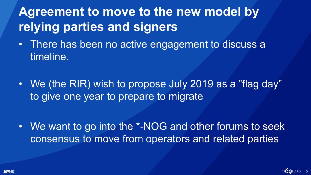### **Agreement to move to the new model by relying parties and signers**

- There has been no active engagement to discuss a timeline.
- We (the RIR) wish to propose July 2019 as a "flag day" to give one year to prepare to migrate

• We want to go into the \*-NOG and other forums to seek consensus to move from operators and related parties

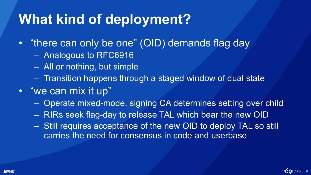# **What kind of deployment?**

- "there can only be one" (OID) demands flag day
	- Analogous to RFC6916
	- All or nothing, but simple
	- Transition happens through a staged window of dual state
- "we can mix it up"
	- Operate mixed-mode, signing CA determines setting over child
	- RIRs seek flag-day to release TAL which bear the new OID
	- Still requires acceptance of the new OID to deploy TAL so still carries the need for consensus in code and userbase

6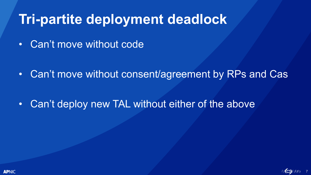# **Tri-partite deployment deadlock**

• Can't move without code

• Can't move without consent/agreement by RPs and Cas

• Can't deploy new TAL without either of the above

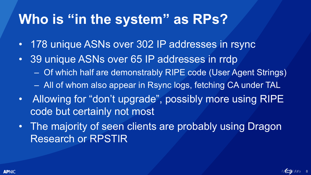# **Who is "in the system" as RPs?**

- 178 unique ASNs over 302 IP addresses in rsync
- 39 unique ASNs over 65 IP addresses in rrdp
	- Of which half are demonstrably RIPE code (User Agent Strings) – All of whom also appear in Rsync logs, fetching CA under TAL
- Allowing for "don't upgrade", possibly more using RIPE code but certainly not most
- The majority of seen clients are probably using Dragon Research or RPSTIR



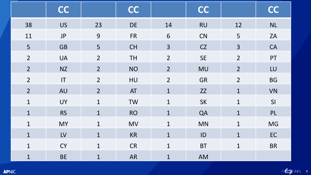|                | <b>CC</b>              |                | <b>CC</b> |                 | <b>CC</b> |                | <b>CC</b> |
|----------------|------------------------|----------------|-----------|-----------------|-----------|----------------|-----------|
| 38             | <b>US</b>              | 23             | <b>DE</b> | 14              | <b>RU</b> | 12             | <b>NL</b> |
| 11             | $\mathsf{JP}$          | 9              | <b>FR</b> | $6\phantom{1}6$ | CN        | 5              | ZA        |
| 5              | <b>GB</b>              | 5              | <b>CH</b> | 3               | CZ        | 3              | CA        |
| $\overline{2}$ | <b>UA</b>              | $\overline{2}$ | <b>TH</b> | $\overline{2}$  | <b>SE</b> | $\overline{2}$ | PT        |
| $\overline{2}$ | <b>NZ</b>              | $\overline{2}$ | <b>NO</b> | $\overline{2}$  | <b>MU</b> | $\overline{2}$ | LU        |
| $\overline{2}$ | $\mathsf{I}\mathsf{T}$ | $\overline{2}$ | HU        | $\overline{2}$  | <b>GR</b> | $\overline{2}$ | <b>BG</b> |
| $\overline{2}$ | <b>AU</b>              | $\overline{2}$ | AT        | $\mathbf{1}$    | ZZ        | $\mathbf{1}$   | <b>VN</b> |
| $\mathbf{1}$   | <b>UY</b>              | $\mathbf{1}$   | <b>TW</b> | $\mathbf{1}$    | <b>SK</b> | $\mathbf{1}$   | SI        |
| $\mathbf{1}$   | <b>RS</b>              | $\mathbf{1}$   | <b>RO</b> | $\mathbf{1}$    | QA        | $\mathbf{1}$   | PL        |
| $\mathbf{1}$   | <b>MY</b>              | $\mathbf{1}$   | <b>MV</b> | $\mathbf{1}$    | MN        | $\mathbf{1}$   | <b>MG</b> |
| $\mathbf{1}$   | LV                     | $\mathbf{1}$   | <b>KR</b> | $\mathbf{1}$    | ID        | $\mathbf{1}$   | <b>EC</b> |
| $\mathbf{1}$   | <b>CY</b>              | $\mathbf{1}$   | <b>CR</b> | $\mathbf{1}$    | <b>BT</b> | $\mathbf{1}$   | <b>BR</b> |
| $\mathbf{1}$   | <b>BE</b>              | $\mathbf{1}$   | <b>AR</b> | $\mathbf{1}$    | AM        |                |           |